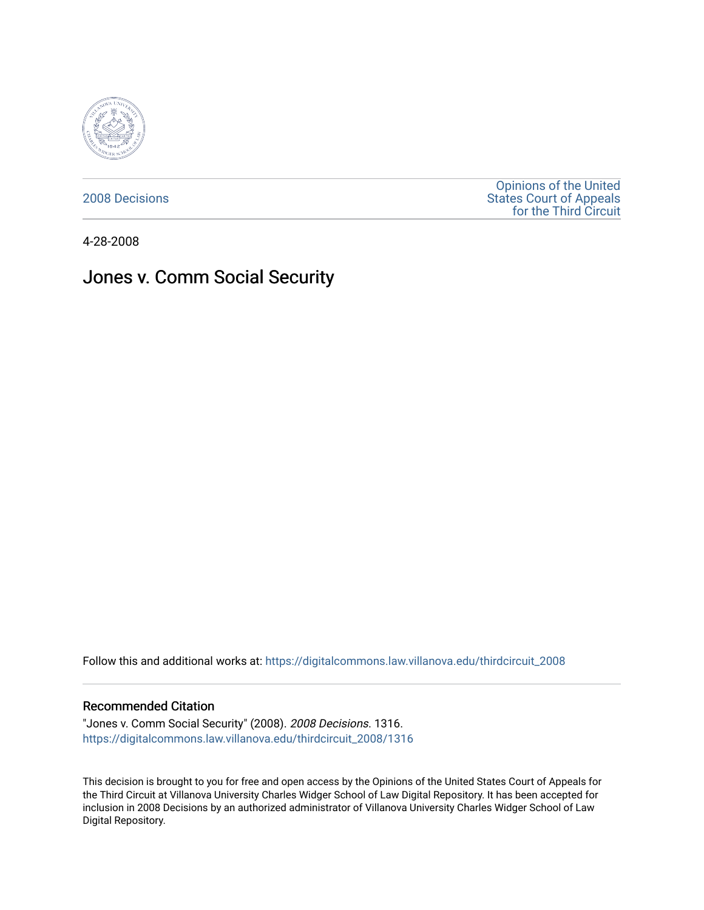

[2008 Decisions](https://digitalcommons.law.villanova.edu/thirdcircuit_2008)

[Opinions of the United](https://digitalcommons.law.villanova.edu/thirdcircuit)  [States Court of Appeals](https://digitalcommons.law.villanova.edu/thirdcircuit)  [for the Third Circuit](https://digitalcommons.law.villanova.edu/thirdcircuit) 

4-28-2008

# Jones v. Comm Social Security

Follow this and additional works at: [https://digitalcommons.law.villanova.edu/thirdcircuit\\_2008](https://digitalcommons.law.villanova.edu/thirdcircuit_2008?utm_source=digitalcommons.law.villanova.edu%2Fthirdcircuit_2008%2F1316&utm_medium=PDF&utm_campaign=PDFCoverPages) 

#### Recommended Citation

"Jones v. Comm Social Security" (2008). 2008 Decisions. 1316. [https://digitalcommons.law.villanova.edu/thirdcircuit\\_2008/1316](https://digitalcommons.law.villanova.edu/thirdcircuit_2008/1316?utm_source=digitalcommons.law.villanova.edu%2Fthirdcircuit_2008%2F1316&utm_medium=PDF&utm_campaign=PDFCoverPages) 

This decision is brought to you for free and open access by the Opinions of the United States Court of Appeals for the Third Circuit at Villanova University Charles Widger School of Law Digital Repository. It has been accepted for inclusion in 2008 Decisions by an authorized administrator of Villanova University Charles Widger School of Law Digital Repository.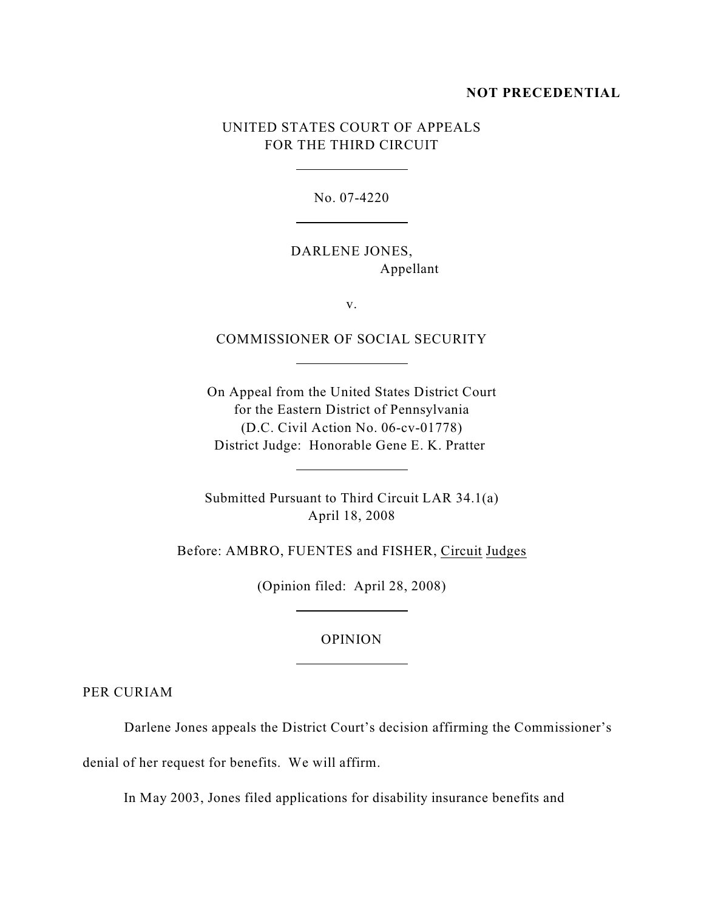#### **NOT PRECEDENTIAL**

## UNITED STATES COURT OF APPEALS FOR THE THIRD CIRCUIT

 $\overline{a}$ 

 $\overline{a}$ 

 $\overline{a}$ 

 $\overline{a}$ 

 $\overline{a}$ 

 $\overline{a}$ 

No. 07-4220

DARLENE JONES, Appellant

v.

COMMISSIONER OF SOCIAL SECURITY

On Appeal from the United States District Court for the Eastern District of Pennsylvania (D.C. Civil Action No. 06-cv-01778) District Judge: Honorable Gene E. K. Pratter

Submitted Pursuant to Third Circuit LAR 34.1(a) April 18, 2008

Before: AMBRO, FUENTES and FISHER, Circuit Judges

(Opinion filed: April 28, 2008)

### OPINION

PER CURIAM

Darlene Jones appeals the District Court's decision affirming the Commissioner's

denial of her request for benefits. We will affirm.

In May 2003, Jones filed applications for disability insurance benefits and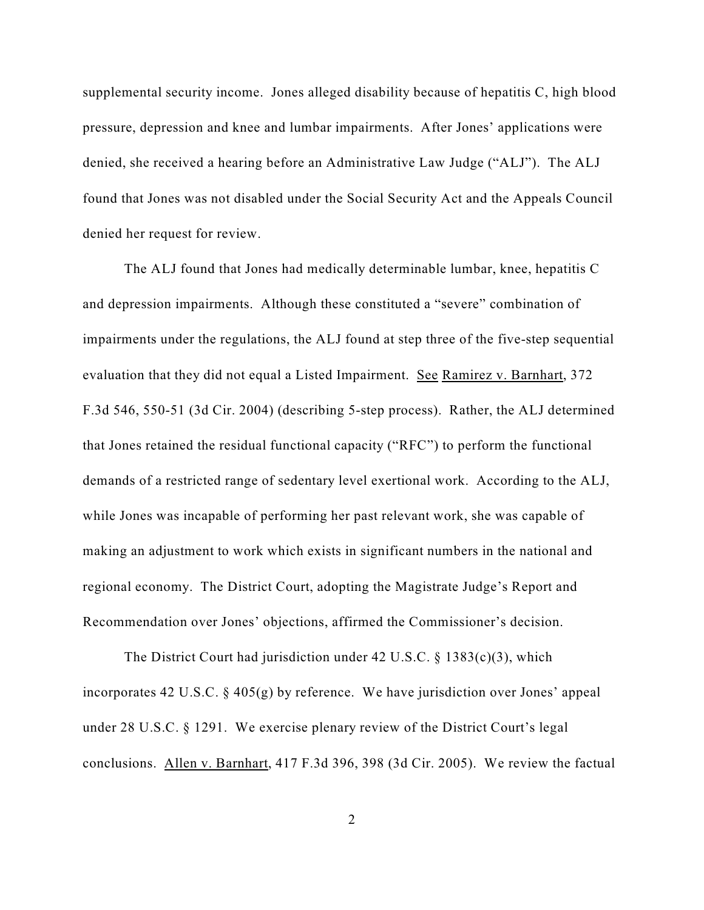supplemental security income. Jones alleged disability because of hepatitis C, high blood pressure, depression and knee and lumbar impairments. After Jones' applications were denied, she received a hearing before an Administrative Law Judge ("ALJ"). The ALJ found that Jones was not disabled under the Social Security Act and the Appeals Council denied her request for review.

The ALJ found that Jones had medically determinable lumbar, knee, hepatitis C and depression impairments. Although these constituted a "severe" combination of impairments under the regulations, the ALJ found at step three of the five-step sequential evaluation that they did not equal a Listed Impairment. See Ramirez v. Barnhart, 372 F.3d 546, 550-51 (3d Cir. 2004) (describing 5-step process). Rather, the ALJ determined that Jones retained the residual functional capacity ("RFC") to perform the functional demands of a restricted range of sedentary level exertional work. According to the ALJ, while Jones was incapable of performing her past relevant work, she was capable of making an adjustment to work which exists in significant numbers in the national and regional economy. The District Court, adopting the Magistrate Judge's Report and Recommendation over Jones' objections, affirmed the Commissioner's decision.

The District Court had jurisdiction under 42 U.S.C. § 1383(c)(3), which incorporates 42 U.S.C. § 405(g) by reference. We have jurisdiction over Jones' appeal under 28 U.S.C. § 1291. We exercise plenary review of the District Court's legal conclusions. Allen v. Barnhart, 417 F.3d 396, 398 (3d Cir. 2005). We review the factual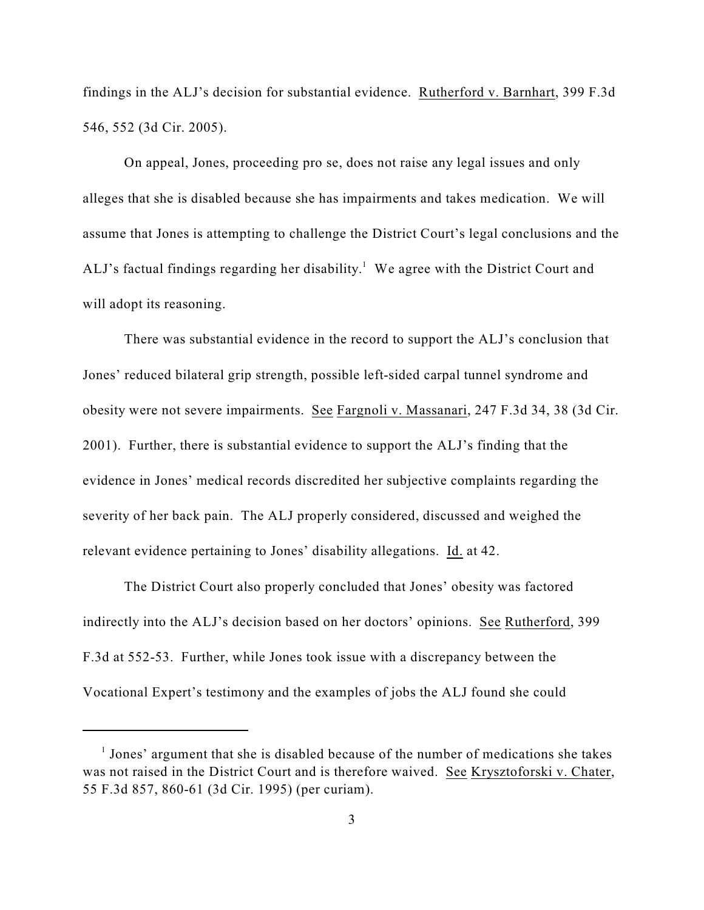findings in the ALJ's decision for substantial evidence. Rutherford v. Barnhart, 399 F.3d 546, 552 (3d Cir. 2005).

On appeal, Jones, proceeding pro se, does not raise any legal issues and only alleges that she is disabled because she has impairments and takes medication. We will assume that Jones is attempting to challenge the District Court's legal conclusions and the ALJ's factual findings regarding her disability.<sup>1</sup> We agree with the District Court and will adopt its reasoning.

There was substantial evidence in the record to support the ALJ's conclusion that Jones' reduced bilateral grip strength, possible left-sided carpal tunnel syndrome and obesity were not severe impairments. See Fargnoli v. Massanari, 247 F.3d 34, 38 (3d Cir. 2001). Further, there is substantial evidence to support the ALJ's finding that the evidence in Jones' medical records discredited her subjective complaints regarding the severity of her back pain. The ALJ properly considered, discussed and weighed the relevant evidence pertaining to Jones' disability allegations. Id. at 42.

The District Court also properly concluded that Jones' obesity was factored indirectly into the ALJ's decision based on her doctors' opinions. See Rutherford, 399 F.3d at 552-53. Further, while Jones took issue with a discrepancy between the Vocational Expert's testimony and the examples of jobs the ALJ found she could

 $<sup>1</sup>$  Jones' argument that she is disabled because of the number of medications she takes</sup> was not raised in the District Court and is therefore waived. See Krysztoforski v. Chater, 55 F.3d 857, 860-61 (3d Cir. 1995) (per curiam).